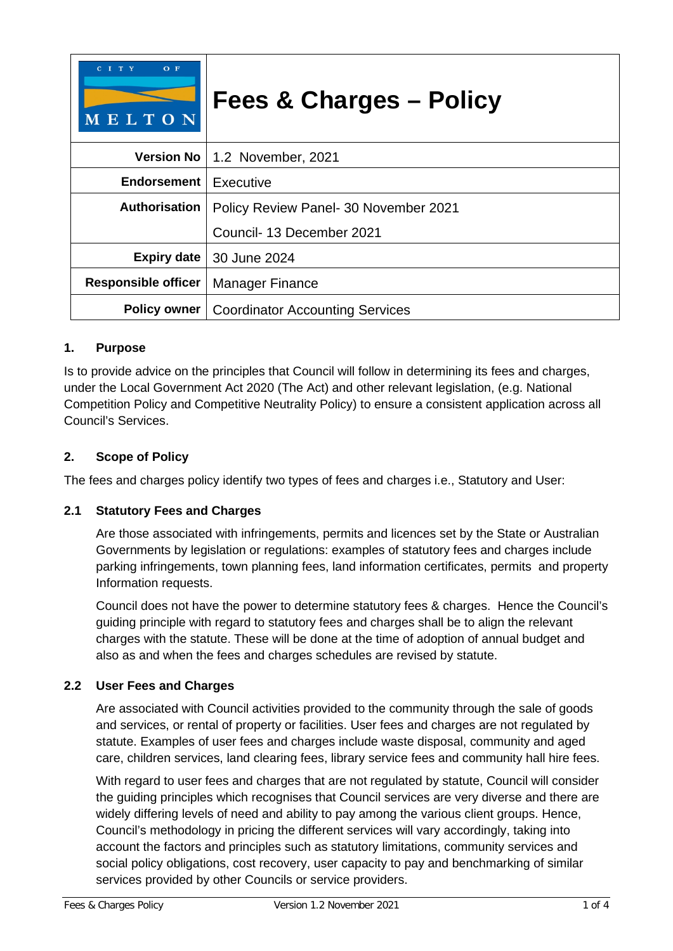| $O$ F<br>C I T Y<br>MELTON | <b>Fees &amp; Charges - Policy</b>                    |
|----------------------------|-------------------------------------------------------|
|                            | Version No   1.2 November, 2021                       |
| <b>Endorsement</b>         | Executive                                             |
| Authorisation              | Policy Review Panel- 30 November 2021                 |
|                            | Council- 13 December 2021                             |
| <b>Expiry date</b>         | 30 June 2024                                          |
| <b>Responsible officer</b> | <b>Manager Finance</b>                                |
|                            | <b>Policy owner</b>   Coordinator Accounting Services |

# **1. Purpose**

Is to provide advice on the principles that Council will follow in determining its fees and charges, under the Local Government Act 2020 (The Act) and other relevant legislation, (e.g. National Competition Policy and Competitive Neutrality Policy) to ensure a consistent application across all Council's Services.

# **2. Scope of Policy**

The fees and charges policy identify two types of fees and charges i.e., Statutory and User:

# **2.1 Statutory Fees and Charges**

Are those associated with infringements, permits and licences set by the State or Australian Governments by legislation or regulations: examples of statutory fees and charges include parking infringements, town planning fees, land information certificates, permits and property Information requests.

Council does not have the power to determine statutory fees & charges. Hence the Council's guiding principle with regard to statutory fees and charges shall be to align the relevant charges with the statute. These will be done at the time of adoption of annual budget and also as and when the fees and charges schedules are revised by statute.

# **2.2 User Fees and Charges**

Are associated with Council activities provided to the community through the sale of goods and services, or rental of property or facilities. User fees and charges are not regulated by statute. Examples of user fees and charges include waste disposal, community and aged care, children services, land clearing fees, library service fees and community hall hire fees.

With regard to user fees and charges that are not regulated by statute, Council will consider the guiding principles which recognises that Council services are very diverse and there are widely differing levels of need and ability to pay among the various client groups. Hence, Council's methodology in pricing the different services will vary accordingly, taking into account the factors and principles such as statutory limitations, community services and social policy obligations, cost recovery, user capacity to pay and benchmarking of similar services provided by other Councils or service providers.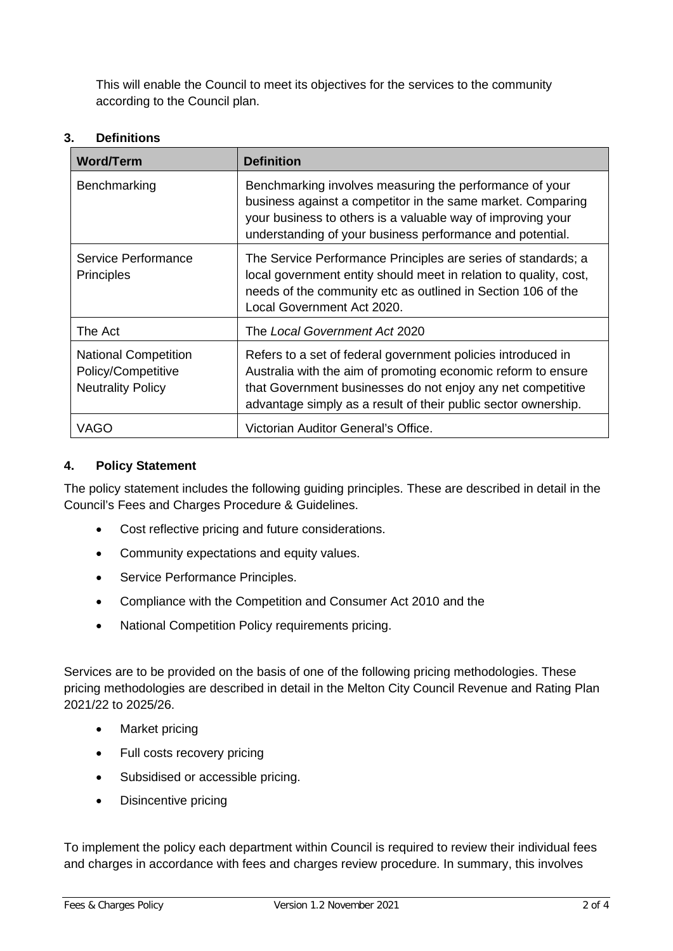This will enable the Council to meet its objectives for the services to the community according to the Council plan.

# **3. Definitions**

| <b>Word/Term</b>                                                              | <b>Definition</b>                                                                                                                                                                                                                                              |
|-------------------------------------------------------------------------------|----------------------------------------------------------------------------------------------------------------------------------------------------------------------------------------------------------------------------------------------------------------|
| Benchmarking                                                                  | Benchmarking involves measuring the performance of your<br>business against a competitor in the same market. Comparing<br>your business to others is a valuable way of improving your<br>understanding of your business performance and potential.             |
| Service Performance<br><b>Principles</b>                                      | The Service Performance Principles are series of standards; a<br>local government entity should meet in relation to quality, cost,<br>needs of the community etc as outlined in Section 106 of the<br>Local Government Act 2020.                               |
| The Act                                                                       | The Local Government Act 2020                                                                                                                                                                                                                                  |
| <b>National Competition</b><br>Policy/Competitive<br><b>Neutrality Policy</b> | Refers to a set of federal government policies introduced in<br>Australia with the aim of promoting economic reform to ensure<br>that Government businesses do not enjoy any net competitive<br>advantage simply as a result of their public sector ownership. |
| VAGO                                                                          | Victorian Auditor General's Office.                                                                                                                                                                                                                            |

# **4. Policy Statement**

The policy statement includes the following guiding principles. These are described in detail in the Council's Fees and Charges Procedure & Guidelines.

- Cost reflective pricing and future considerations.
- Community expectations and equity values.
- Service Performance Principles.
- Compliance with the Competition and Consumer Act 2010 and the
- National Competition Policy requirements pricing.

Services are to be provided on the basis of one of the following pricing methodologies. These pricing methodologies are described in detail in the Melton City Council Revenue and Rating Plan 2021/22 to 2025/26.

- Market pricing
- Full costs recovery pricing
- Subsidised or accessible pricing.
- Disincentive pricing

To implement the policy each department within Council is required to review their individual fees and charges in accordance with fees and charges review procedure. In summary, this involves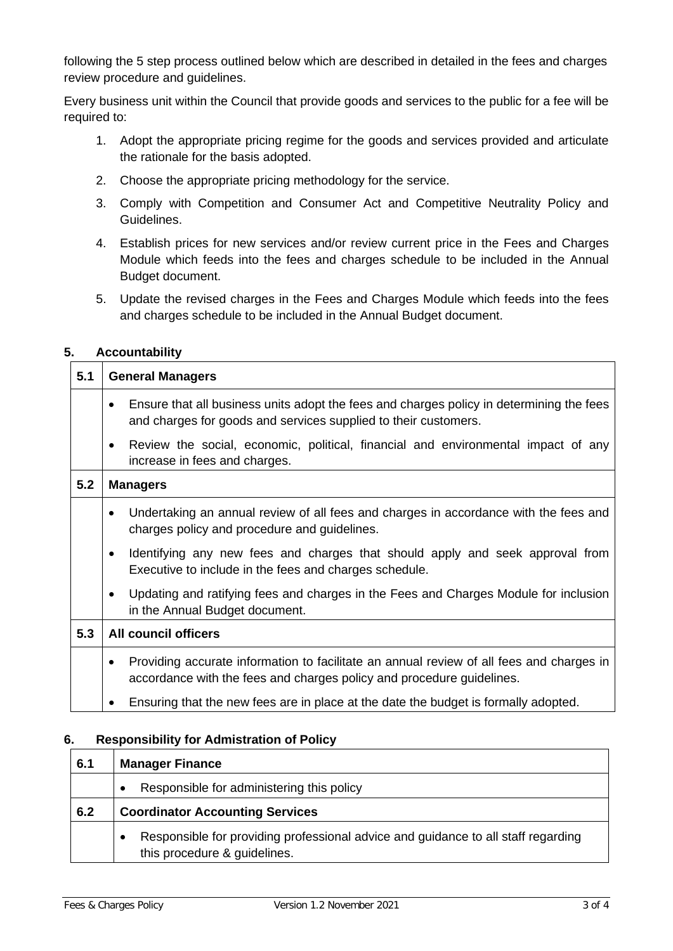following the 5 step process outlined below which are described in detailed in the fees and charges review procedure and guidelines.

Every business unit within the Council that provide goods and services to the public for a fee will be required to:

- 1. Adopt the appropriate pricing regime for the goods and services provided and articulate the rationale for the basis adopted.
- 2. Choose the appropriate pricing methodology for the service.
- 3. Comply with Competition and Consumer Act and Competitive Neutrality Policy and Guidelines.
- 4. Establish prices for new services and/or review current price in the Fees and Charges Module which feeds into the fees and charges schedule to be included in the Annual Budget document.
- 5. Update the revised charges in the Fees and Charges Module which feeds into the fees and charges schedule to be included in the Annual Budget document.

#### **5. Accountability**

| 5.1 | <b>General Managers</b>                                                                                                                                                |  |  |
|-----|------------------------------------------------------------------------------------------------------------------------------------------------------------------------|--|--|
|     | Ensure that all business units adopt the fees and charges policy in determining the fees<br>٠<br>and charges for goods and services supplied to their customers.       |  |  |
|     | Review the social, economic, political, financial and environmental impact of any<br>$\bullet$<br>increase in fees and charges.                                        |  |  |
| 5.2 | <b>Managers</b>                                                                                                                                                        |  |  |
|     | Undertaking an annual review of all fees and charges in accordance with the fees and<br>$\bullet$<br>charges policy and procedure and guidelines.                      |  |  |
|     | Identifying any new fees and charges that should apply and seek approval from<br>$\bullet$<br>Executive to include in the fees and charges schedule.                   |  |  |
|     | Updating and ratifying fees and charges in the Fees and Charges Module for inclusion<br>$\bullet$<br>in the Annual Budget document.                                    |  |  |
| 5.3 | <b>All council officers</b>                                                                                                                                            |  |  |
|     | Providing accurate information to facilitate an annual review of all fees and charges in<br>٠<br>accordance with the fees and charges policy and procedure guidelines. |  |  |
|     | Ensuring that the new fees are in place at the date the budget is formally adopted.                                                                                    |  |  |

#### **6. Responsibility for Admistration of Policy**

| 6.1 | <b>Manager Finance</b>                                                                                            |  |
|-----|-------------------------------------------------------------------------------------------------------------------|--|
|     | Responsible for administering this policy<br>$\bullet$                                                            |  |
| 6.2 | <b>Coordinator Accounting Services</b>                                                                            |  |
|     | Responsible for providing professional advice and guidance to all staff regarding<br>this procedure & guidelines. |  |